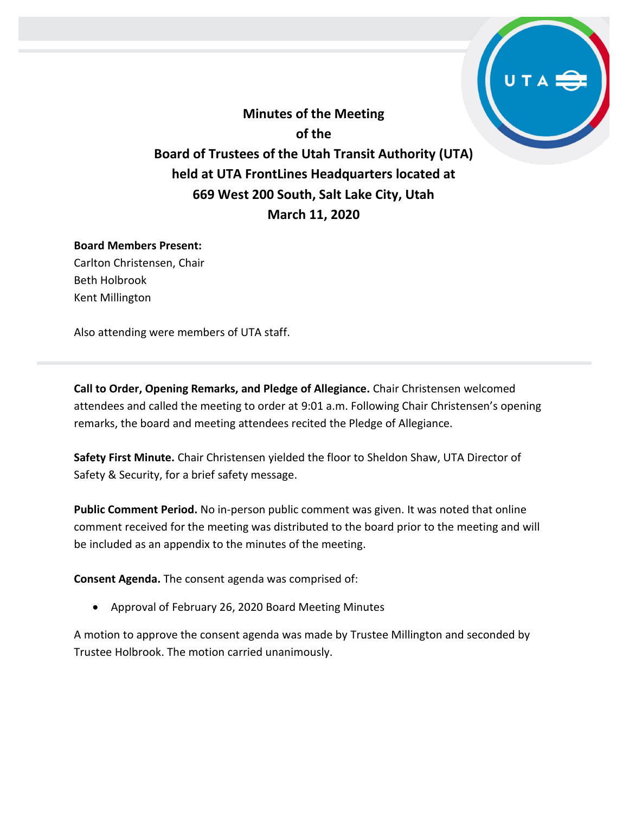**Minutes of the Meeting of the Board of Trustees of the Utah Transit Authority (UTA) held at UTA FrontLines Headquarters located at 669 West 200 South, Salt Lake City, Utah March 11, 2020**

#### **Board Members Present:**

Carlton Christensen, Chair Beth Holbrook Kent Millington

Also attending were members of UTA staff.

**Call to Order, Opening Remarks, and Pledge of Allegiance.** Chair Christensen welcomed attendees and called the meeting to order at 9:01 a.m. Following Chair Christensen's opening remarks, the board and meeting attendees recited the Pledge of Allegiance.

**Safety First Minute.** Chair Christensen yielded the floor to Sheldon Shaw, UTA Director of Safety & Security, for a brief safety message.

**Public Comment Period.** No in-person public comment was given. It was noted that online comment received for the meeting was distributed to the board prior to the meeting and will be included as an appendix to the minutes of the meeting.

**Consent Agenda.** The consent agenda was comprised of:

• Approval of February 26, 2020 Board Meeting Minutes

A motion to approve the consent agenda was made by Trustee Millington and seconded by Trustee Holbrook. The motion carried unanimously.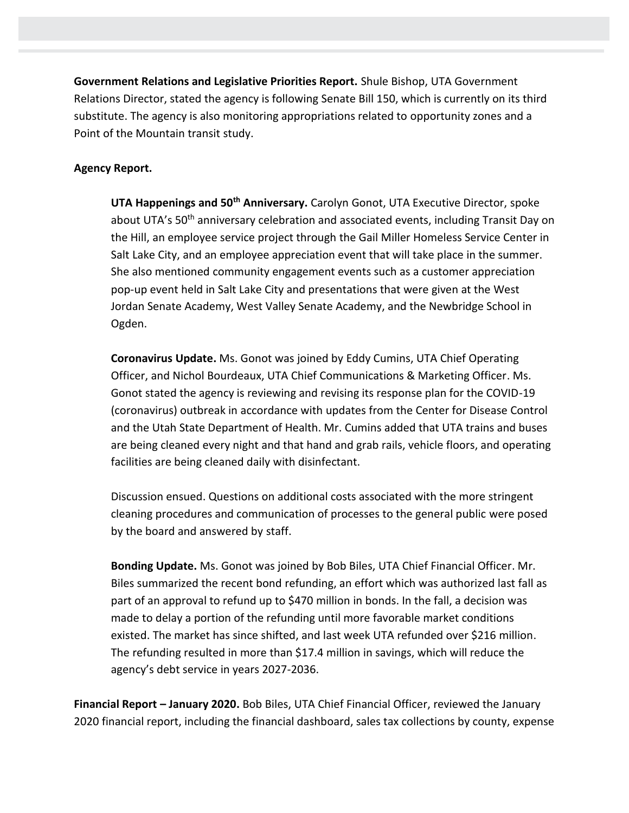**Government Relations and Legislative Priorities Report.** Shule Bishop, UTA Government Relations Director, stated the agency is following Senate Bill 150, which is currently on its third substitute. The agency is also monitoring appropriations related to opportunity zones and a Point of the Mountain transit study.

## **Agency Report.**

**UTA Happenings and 50th Anniversary.** Carolyn Gonot, UTA Executive Director, spoke about UTA's 50<sup>th</sup> anniversary celebration and associated events, including Transit Day on the Hill, an employee service project through the Gail Miller Homeless Service Center in Salt Lake City, and an employee appreciation event that will take place in the summer. She also mentioned community engagement events such as a customer appreciation pop-up event held in Salt Lake City and presentations that were given at the West Jordan Senate Academy, West Valley Senate Academy, and the Newbridge School in Ogden.

**Coronavirus Update.** Ms. Gonot was joined by Eddy Cumins, UTA Chief Operating Officer, and Nichol Bourdeaux, UTA Chief Communications & Marketing Officer. Ms. Gonot stated the agency is reviewing and revising its response plan for the COVID-19 (coronavirus) outbreak in accordance with updates from the Center for Disease Control and the Utah State Department of Health. Mr. Cumins added that UTA trains and buses are being cleaned every night and that hand and grab rails, vehicle floors, and operating facilities are being cleaned daily with disinfectant.

Discussion ensued. Questions on additional costs associated with the more stringent cleaning procedures and communication of processes to the general public were posed by the board and answered by staff.

**Bonding Update.** Ms. Gonot was joined by Bob Biles, UTA Chief Financial Officer. Mr. Biles summarized the recent bond refunding, an effort which was authorized last fall as part of an approval to refund up to \$470 million in bonds. In the fall, a decision was made to delay a portion of the refunding until more favorable market conditions existed. The market has since shifted, and last week UTA refunded over \$216 million. The refunding resulted in more than \$17.4 million in savings, which will reduce the agency's debt service in years 2027-2036.

**Financial Report – January 2020.** Bob Biles, UTA Chief Financial Officer, reviewed the January 2020 financial report, including the financial dashboard, sales tax collections by county, expense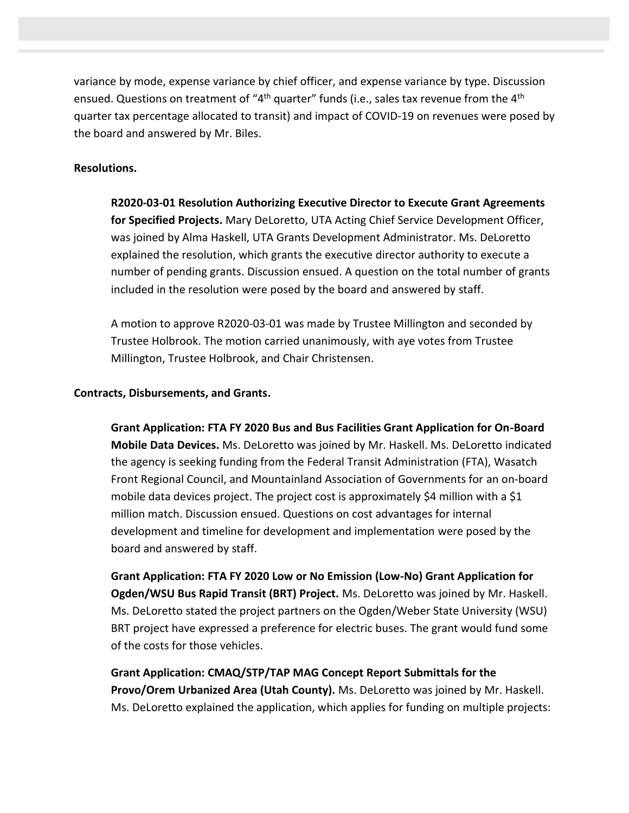variance by mode, expense variance by chief officer, and expense variance by type. Discussion ensued. Questions on treatment of "4<sup>th</sup> quarter" funds (i.e., sales tax revenue from the 4<sup>th</sup> quarter tax percentage allocated to transit) and impact of COVID-19 on revenues were posed by the board and answered by Mr. Biles.

# **Resolutions.**

**R2020-03-01 Resolution Authorizing Executive Director to Execute Grant Agreements for Specified Projects.** Mary DeLoretto, UTA Acting Chief Service Development Officer, was joined by Alma Haskell, UTA Grants Development Administrator. Ms. DeLoretto explained the resolution, which grants the executive director authority to execute a number of pending grants. Discussion ensued. A question on the total number of grants included in the resolution were posed by the board and answered by staff.

A motion to approve R2020-03-01 was made by Trustee Millington and seconded by Trustee Holbrook. The motion carried unanimously, with aye votes from Trustee Millington, Trustee Holbrook, and Chair Christensen.

#### **Contracts, Disbursements, and Grants.**

**Grant Application: FTA FY 2020 Bus and Bus Facilities Grant Application for On-Board Mobile Data Devices.** Ms. DeLoretto was joined by Mr. Haskell. Ms. DeLoretto indicated the agency is seeking funding from the Federal Transit Administration (FTA), Wasatch Front Regional Council, and Mountainland Association of Governments for an on-board mobile data devices project. The project cost is approximately \$4 million with a \$1 million match. Discussion ensued. Questions on cost advantages for internal development and timeline for development and implementation were posed by the board and answered by staff.

**Grant Application: FTA FY 2020 Low or No Emission (Low-No) Grant Application for Ogden/WSU Bus Rapid Transit (BRT) Project.** Ms. DeLoretto was joined by Mr. Haskell. Ms. DeLoretto stated the project partners on the Ogden/Weber State University (WSU) BRT project have expressed a preference for electric buses. The grant would fund some of the costs for those vehicles.

**Grant Application: CMAQ/STP/TAP MAG Concept Report Submittals for the Provo/Orem Urbanized Area (Utah County).** Ms. DeLoretto was joined by Mr. Haskell. Ms. DeLoretto explained the application, which applies for funding on multiple projects: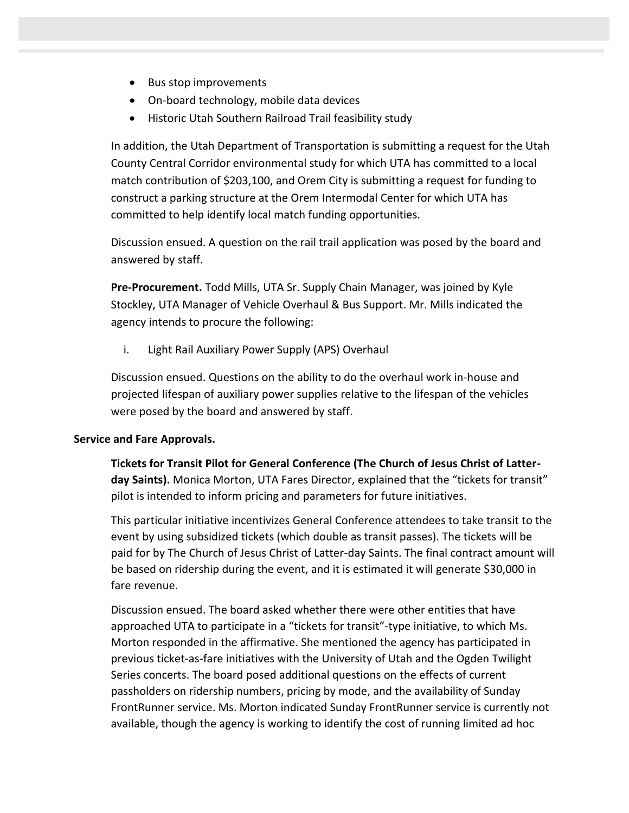- Bus stop improvements
- On-board technology, mobile data devices
- Historic Utah Southern Railroad Trail feasibility study

In addition, the Utah Department of Transportation is submitting a request for the Utah County Central Corridor environmental study for which UTA has committed to a local match contribution of \$203,100, and Orem City is submitting a request for funding to construct a parking structure at the Orem Intermodal Center for which UTA has committed to help identify local match funding opportunities.

Discussion ensued. A question on the rail trail application was posed by the board and answered by staff.

**Pre-Procurement.** Todd Mills, UTA Sr. Supply Chain Manager, was joined by Kyle Stockley, UTA Manager of Vehicle Overhaul & Bus Support. Mr. Mills indicated the agency intends to procure the following:

i. Light Rail Auxiliary Power Supply (APS) Overhaul

Discussion ensued. Questions on the ability to do the overhaul work in-house and projected lifespan of auxiliary power supplies relative to the lifespan of the vehicles were posed by the board and answered by staff.

#### **Service and Fare Approvals.**

**Tickets for Transit Pilot for General Conference (The Church of Jesus Christ of Latterday Saints).** Monica Morton, UTA Fares Director, explained that the "tickets for transit" pilot is intended to inform pricing and parameters for future initiatives.

This particular initiative incentivizes General Conference attendees to take transit to the event by using subsidized tickets (which double as transit passes). The tickets will be paid for by The Church of Jesus Christ of Latter-day Saints. The final contract amount will be based on ridership during the event, and it is estimated it will generate \$30,000 in fare revenue.

Discussion ensued. The board asked whether there were other entities that have approached UTA to participate in a "tickets for transit"-type initiative, to which Ms. Morton responded in the affirmative. She mentioned the agency has participated in previous ticket-as-fare initiatives with the University of Utah and the Ogden Twilight Series concerts. The board posed additional questions on the effects of current passholders on ridership numbers, pricing by mode, and the availability of Sunday FrontRunner service. Ms. Morton indicated Sunday FrontRunner service is currently not available, though the agency is working to identify the cost of running limited ad hoc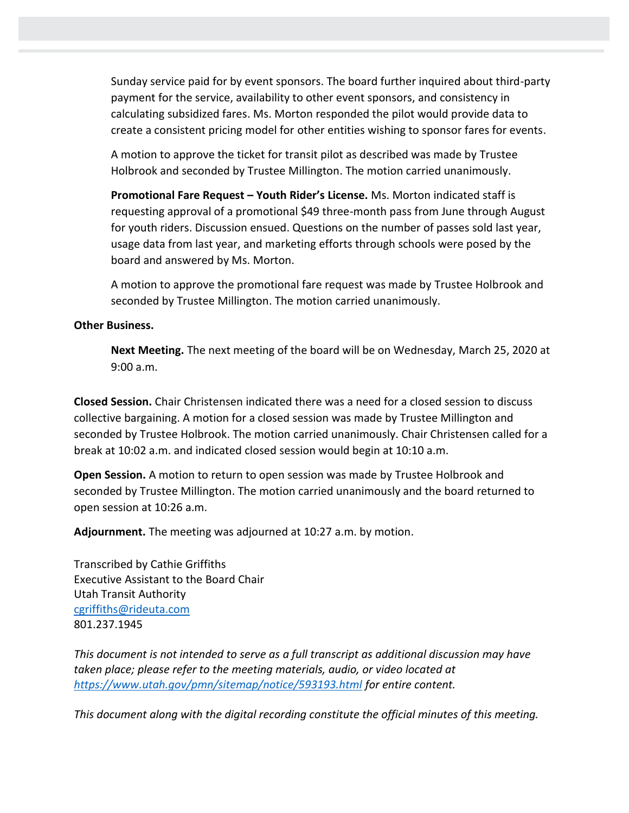Sunday service paid for by event sponsors. The board further inquired about third-party payment for the service, availability to other event sponsors, and consistency in calculating subsidized fares. Ms. Morton responded the pilot would provide data to create a consistent pricing model for other entities wishing to sponsor fares for events.

A motion to approve the ticket for transit pilot as described was made by Trustee Holbrook and seconded by Trustee Millington. The motion carried unanimously.

**Promotional Fare Request – Youth Rider's License.** Ms. Morton indicated staff is requesting approval of a promotional \$49 three-month pass from June through August for youth riders. Discussion ensued. Questions on the number of passes sold last year, usage data from last year, and marketing efforts through schools were posed by the board and answered by Ms. Morton.

A motion to approve the promotional fare request was made by Trustee Holbrook and seconded by Trustee Millington. The motion carried unanimously.

## **Other Business.**

**Next Meeting.** The next meeting of the board will be on Wednesday, March 25, 2020 at 9:00 a.m.

**Closed Session.** Chair Christensen indicated there was a need for a closed session to discuss collective bargaining. A motion for a closed session was made by Trustee Millington and seconded by Trustee Holbrook. The motion carried unanimously. Chair Christensen called for a break at 10:02 a.m. and indicated closed session would begin at 10:10 a.m.

**Open Session.** A motion to return to open session was made by Trustee Holbrook and seconded by Trustee Millington. The motion carried unanimously and the board returned to open session at 10:26 a.m.

**Adjournment.** The meeting was adjourned at 10:27 a.m. by motion.

Transcribed by Cathie Griffiths Executive Assistant to the Board Chair Utah Transit Authority [cgriffiths@rideuta.com](mailto:cgriffiths@rideuta.com) 801.237.1945

*This document is not intended to serve as a full transcript as additional discussion may have taken place; please refer to the meeting materials, audio, or video located at <https://www.utah.gov/pmn/sitemap/notice/593193.html> for entire content.*

*This document along with the digital recording constitute the official minutes of this meeting.*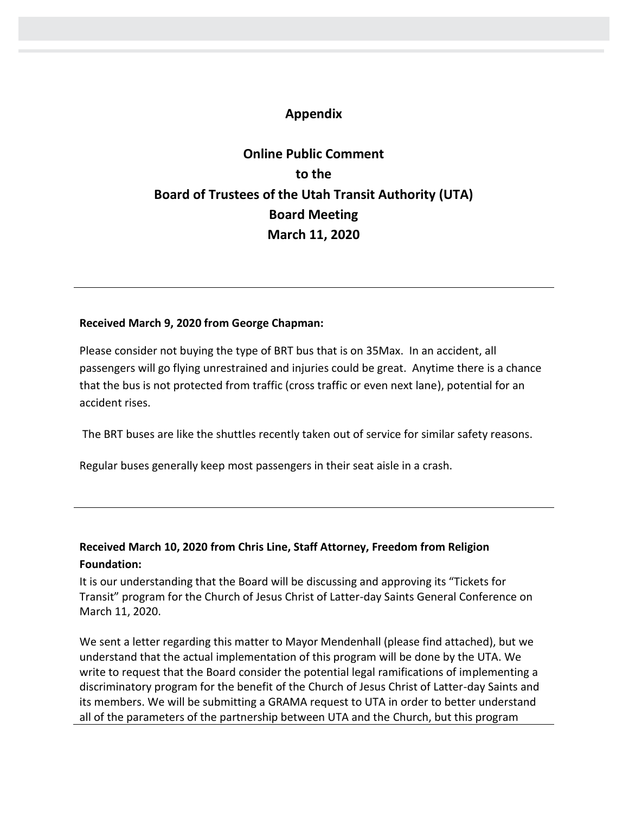# **Appendix**

# **Online Public Comment to the Board of Trustees of the Utah Transit Authority (UTA) Board Meeting March 11, 2020**

#### **Received March 9, 2020 from George Chapman:**

Please consider not buying the type of BRT bus that is on 35Max. In an accident, all passengers will go flying unrestrained and injuries could be great. Anytime there is a chance that the bus is not protected from traffic (cross traffic or even next lane), potential for an accident rises.

The BRT buses are like the shuttles recently taken out of service for similar safety reasons.

Regular buses generally keep most passengers in their seat aisle in a crash.

# **Received March 10, 2020 from Chris Line, Staff Attorney, Freedom from Religion Foundation:**

It is our understanding that the Board will be discussing and approving its "Tickets for Transit" program for the Church of Jesus Christ of Latter-day Saints General Conference on March 11, 2020.

We sent a letter regarding this matter to Mayor Mendenhall (please find attached), but we understand that the actual implementation of this program will be done by the UTA. We write to request that the Board consider the potential legal ramifications of implementing a discriminatory program for the benefit of the Church of Jesus Christ of Latter-day Saints and its members. We will be submitting a GRAMA request to UTA in order to better understand all of the parameters of the partnership between UTA and the Church, but this program